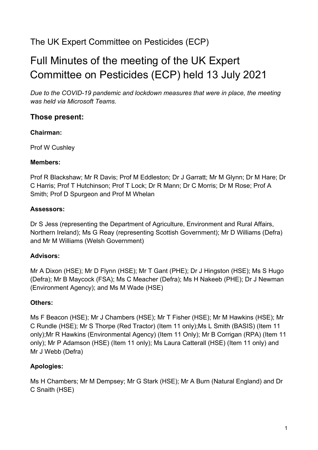# The UK Expert Committee on Pesticides (ECP)

# Full Minutes of the meeting of the UK Expert Committee on Pesticides (ECP) held 13 July 2021

*Due to the COVID-19 pandemic and lockdown measures that were in place, the meeting was held via Microsoft Teams.*

### **Those present:**

#### **Chairman:**

Prof W Cushley

#### **Members:**

Prof R Blackshaw; Mr R Davis; Prof M Eddleston; Dr J Garratt; Mr M Glynn; Dr M Hare; Dr C Harris; Prof T Hutchinson; Prof T Lock; Dr R Mann; Dr C Morris; Dr M Rose; Prof A Smith; Prof D Spurgeon and Prof M Whelan

#### **Assessors:**

Dr S Jess (representing the Department of Agriculture, Environment and Rural Affairs, Northern Ireland); Ms G Reay (representing Scottish Government); Mr D Williams (Defra) and Mr M Williams (Welsh Government)

#### **Advisors:**

Mr A Dixon (HSE); Mr D Flynn (HSE); Mr T Gant (PHE); Dr J Hingston (HSE); Ms S Hugo (Defra); Mr B Maycock (FSA); Ms C Meacher (Defra); Ms H Nakeeb (PHE); Dr J Newman (Environment Agency); and Ms M Wade (HSE)

#### **Others:**

Ms F Beacon (HSE); Mr J Chambers (HSE); Mr T Fisher (HSE); Mr M Hawkins (HSE); Mr C Rundle (HSE); Mr S Thorpe (Red Tractor) (Item 11 only);Ms L Smith (BASIS) (Item 11 only);Mr R Hawkins (Environmental Agency) (Item 11 Only); Mr B Corrigan (RPA) (Item 11 only); Mr P Adamson (HSE) (Item 11 only); Ms Laura Catterall (HSE) (Item 11 only) and Mr J Webb (Defra)

#### **Apologies:**

Ms H Chambers; Mr M Dempsey; Mr G Stark (HSE); Mr A Burn (Natural England) and Dr C Snaith (HSE)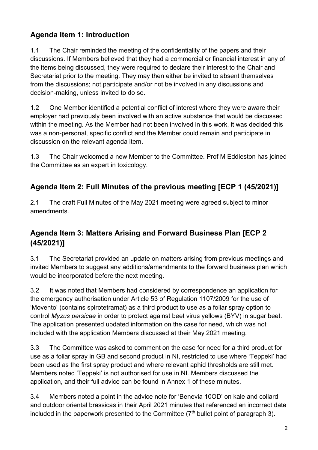# **Agenda Item 1: Introduction**

1.1 The Chair reminded the meeting of the confidentiality of the papers and their discussions. If Members believed that they had a commercial or financial interest in any of the items being discussed, they were required to declare their interest to the Chair and Secretariat prior to the meeting. They may then either be invited to absent themselves from the discussions; not participate and/or not be involved in any discussions and decision-making, unless invited to do so.

1.2 One Member identified a potential conflict of interest where they were aware their employer had previously been involved with an active substance that would be discussed within the meeting. As the Member had not been involved in this work, it was decided this was a non-personal, specific conflict and the Member could remain and participate in discussion on the relevant agenda item.

1.3 The Chair welcomed a new Member to the Committee. Prof M Eddleston has joined the Committee as an expert in toxicology.

# **Agenda Item 2: Full Minutes of the previous meeting [ECP 1 (45/2021)]**

2.1 The draft Full Minutes of the May 2021 meeting were agreed subject to minor amendments.

# **Agenda Item 3: Matters Arising and Forward Business Plan [ECP 2 (45/2021)]**

3.1 The Secretariat provided an update on matters arising from previous meetings and invited Members to suggest any additions/amendments to the forward business plan which would be incorporated before the next meeting.

3.2 It was noted that Members had considered by correspondence an application for the emergency authorisation under Article 53 of Regulation 1107/2009 for the use of 'Movento' (contains spirotetramat) as a third product to use as a foliar spray option to control *Myzus persicae* in order to protect against beet virus yellows (BYV) in sugar beet. The application presented updated information on the case for need, which was not included with the application Members discussed at their May 2021 meeting.

3.3 The Committee was asked to comment on the case for need for a third product for use as a foliar spray in GB and second product in NI, restricted to use where 'Teppeki' had been used as the first spray product and where relevant aphid thresholds are still met. Members noted 'Teppeki' is not authorised for use in NI. Members discussed the application, and their full advice can be found in Annex 1 of these minutes.

3.4 Members noted a point in the advice note for 'Benevia 10OD' on kale and collard and outdoor oriental brassicas in their April 2021 minutes that referenced an incorrect date included in the paperwork presented to the Committee  $(7<sup>th</sup>$  bullet point of paragraph 3).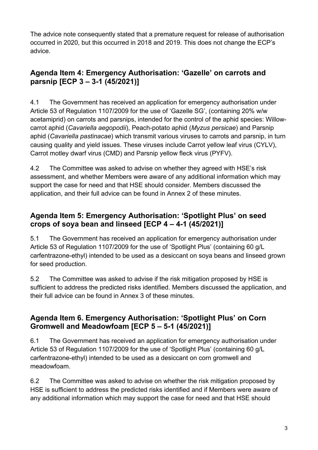The advice note consequently stated that a premature request for release of authorisation occurred in 2020, but this occurred in 2018 and 2019. This does not change the ECP's advice.

# **Agenda Item 4: Emergency Authorisation: 'Gazelle' on carrots and parsnip [ECP 3 – 3-1 (45/2021)]**

4.1 The Government has received an application for emergency authorisation under Article 53 of Regulation 1107/2009 for the use of 'Gazelle SG', (containing 20% w/w acetamiprid) on carrots and parsnips, intended for the control of the aphid species: Willowcarrot aphid (*Cavariella aegopodii*), Peach-potato aphid (*Myzus persicae*) and Parsnip aphid (*Cavariella pastinacae*) which transmit various viruses to carrots and parsnip, in turn causing quality and yield issues. These viruses include Carrot yellow leaf virus (CYLV), Carrot motley dwarf virus (CMD) and Parsnip yellow fleck virus (PYFV).

4.2 The Committee was asked to advise on whether they agreed with HSE's risk assessment, and whether Members were aware of any additional information which may support the case for need and that HSE should consider. Members discussed the application, and their full advice can be found in Annex 2 of these minutes.

# **Agenda Item 5: Emergency Authorisation: 'Spotlight Plus' on seed crops of soya bean and linseed [ECP 4 – 4-1 (45/2021)]**

5.1 The Government has received an application for emergency authorisation under Article 53 of Regulation 1107/2009 for the use of 'Spotlight Plus' (containing 60 g/L carfentrazone-ethyl) intended to be used as a desiccant on soya beans and linseed grown for seed production.

5.2 The Committee was asked to advise if the risk mitigation proposed by HSE is sufficient to address the predicted risks identified. Members discussed the application, and their full advice can be found in Annex 3 of these minutes.

# **Agenda Item 6. Emergency Authorisation: 'Spotlight Plus' on Corn Gromwell and Meadowfoam [ECP 5 – 5-1 (45/2021)]**

6.1 The Government has received an application for emergency authorisation under Article 53 of Regulation 1107/2009 for the use of 'Spotlight Plus' (containing 60 g/L carfentrazone-ethyl) intended to be used as a desiccant on corn gromwell and meadowfoam.

6.2 The Committee was asked to advise on whether the risk mitigation proposed by HSE is sufficient to address the predicted risks identified and if Members were aware of any additional information which may support the case for need and that HSE should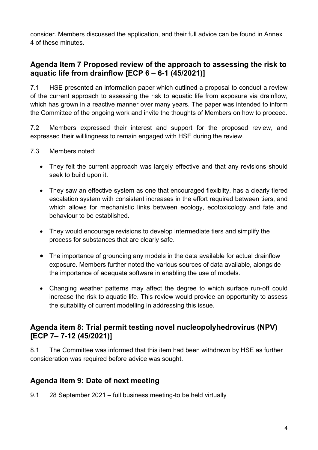consider. Members discussed the application, and their full advice can be found in Annex 4 of these minutes.

### **Agenda Item 7 Proposed review of the approach to assessing the risk to aquatic life from drainflow [ECP 6 – 6-1 (45/2021)]**

7.1 HSE presented an information paper which outlined a proposal to conduct a review of the current approach to assessing the risk to aquatic life from exposure via drainflow, which has grown in a reactive manner over many years. The paper was intended to inform the Committee of the ongoing work and invite the thoughts of Members on how to proceed.

7.2 Members expressed their interest and support for the proposed review, and expressed their willlingness to remain engaged with HSE during the review.

- 7.3 Members noted:
	- They felt the current approach was largely effective and that any revisions should seek to build upon it.
	- They saw an effective system as one that encouraged flexiblity, has a clearly tiered escalation system with consistent increases in the effort required between tiers, and which allows for mechanistic links between ecology, ecotoxicology and fate and behaviour to be established.
	- They would encourage revisions to develop intermediate tiers and simplify the process for substances that are clearly safe.
	- The importance of grounding any models in the data available for actual drainflow exposure. Members further noted the various sources of data available, alongside the importance of adequate software in enabling the use of models.
	- Changing weather patterns may affect the degree to which surface run-off could increase the risk to aquatic life. This review would provide an opportunity to assess the suitability of current modelling in addressing this issue.

## **Agenda item 8: Trial permit testing novel nucleopolyhedrovirus (NPV) [ECP 7– 7-12 (45/2021)]**

8.1 The Committee was informed that this item had been withdrawn by HSE as further consideration was required before advice was sought.

# **Agenda item 9: Date of next meeting**

9.1 28 September 2021 – full business meeting-to be held virtually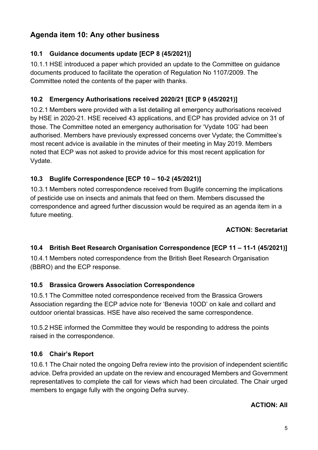# **Agenda item 10: Any other business**

### **10.1 Guidance documents update [ECP 8 (45/2021)]**

10.1.1 HSE introduced a paper which provided an update to the Committee on guidance documents produced to facilitate the operation of Regulation No 1107/2009. The Committee noted the contents of the paper with thanks.

### **10.2 Emergency Authorisations received 2020/21 [ECP 9 (45/2021)]**

10.2.1 Members were provided with a list detailing all emergency authorisations received by HSE in 2020-21. HSE received 43 applications, and ECP has provided advice on 31 of those. The Committee noted an emergency authorisation for 'Vydate 10G' had been authorised. Members have previously expressed concerns over Vydate; the Committee's most recent advice is available in the minutes of their meeting in May 2019. Members noted that ECP was not asked to provide advice for this most recent application for Vydate.

### **10.3 Buglife Correspondence [ECP 10 – 10-2 (45/2021)]**

10.3.1 Members noted correspondence received from Buglife concerning the implications of pesticide use on insects and animals that feed on them. Members discussed the correspondence and agreed further discussion would be required as an agenda item in a future meeting.

#### **ACTION: Secretariat**

### **10.4 British Beet Research Organisation Correspondence [ECP 11 – 11-1 (45/2021)]**

10.4.1 Members noted correspondence from the British Beet Research Organisation (BBRO) and the ECP response.

#### **10.5 Brassica Growers Association Correspondence**

10.5.1 The Committee noted correspondence received from the Brassica Growers Association regarding the ECP advice note for 'Benevia 10OD' on kale and collard and outdoor oriental brassicas. HSE have also received the same correspondence.

10.5.2 HSE informed the Committee they would be responding to address the points raised in the correspondence.

#### **10.6 Chair's Report**

10.6.1 The Chair noted the ongoing Defra review into the provision of independent scientific advice. Defra provided an update on the review and encouraged Members and Government representatives to complete the call for views which had been circulated. The Chair urged members to engage fully with the ongoing Defra survey.

#### **ACTION: All**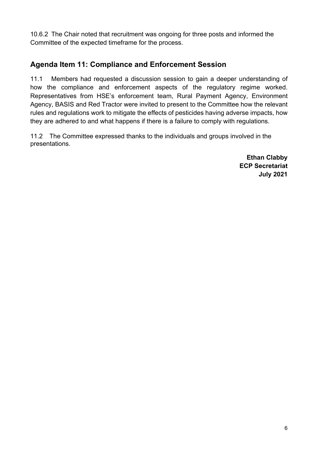10.6.2 The Chair noted that recruitment was ongoing for three posts and informed the Committee of the expected timeframe for the process.

# **Agenda Item 11: Compliance and Enforcement Session**

11.1 Members had requested a discussion session to gain a deeper understanding of how the compliance and enforcement aspects of the regulatory regime worked. Representatives from HSE's enforcement team, Rural Payment Agency, Environment Agency, BASIS and Red Tractor were invited to present to the Committee how the relevant rules and regulations work to mitigate the effects of pesticides having adverse impacts, how they are adhered to and what happens if there is a failure to comply with regulations.

11.2 The Committee expressed thanks to the individuals and groups involved in the presentations.

> **Ethan Clabby ECP Secretariat July 2021**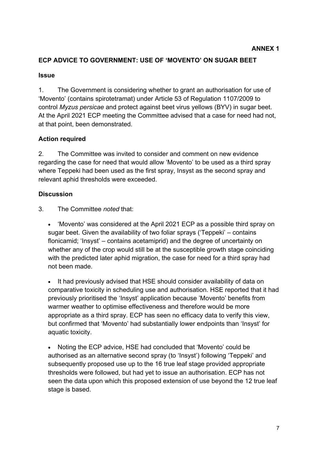#### **ECP ADVICE TO GOVERNMENT: USE OF 'MOVENTO' ON SUGAR BEET**

#### **Issue**

1. The Government is considering whether to grant an authorisation for use of 'Movento' (contains spirotetramat) under Article 53 of Regulation 1107/2009 to control *Myzus persicae* and protect against beet virus yellows (BYV) in sugar beet. At the April 2021 ECP meeting the Committee advised that a case for need had not, at that point, been demonstrated.

#### **Action required**

2. The Committee was invited to consider and comment on new evidence regarding the case for need that would allow 'Movento' to be used as a third spray where Teppeki had been used as the first spray, Insyst as the second spray and relevant aphid thresholds were exceeded.

#### **Discussion**

3. The Committee *noted* that:

• 'Movento' was considered at the April 2021 ECP as a possible third spray on sugar beet. Given the availability of two foliar sprays ('Teppeki' – contains flonicamid; 'Insyst' – contains acetamiprid) and the degree of uncertainty on whether any of the crop would still be at the susceptible growth stage coinciding with the predicted later aphid migration, the case for need for a third spray had not been made.

• It had previously advised that HSE should consider availability of data on comparative toxicity in scheduling use and authorisation. HSE reported that it had previously prioritised the 'Insyst' application because 'Movento' benefits from warmer weather to optimise effectiveness and therefore would be more appropriate as a third spray. ECP has seen no efficacy data to verify this view, but confirmed that 'Movento' had substantially lower endpoints than 'Insyst' for aquatic toxicity.

• Noting the ECP advice, HSE had concluded that 'Movento' could be authorised as an alternative second spray (to 'Insyst') following 'Teppeki' and subsequently proposed use up to the 16 true leaf stage provided appropriate thresholds were followed, but had yet to issue an authorisation. ECP has not seen the data upon which this proposed extension of use beyond the 12 true leaf stage is based.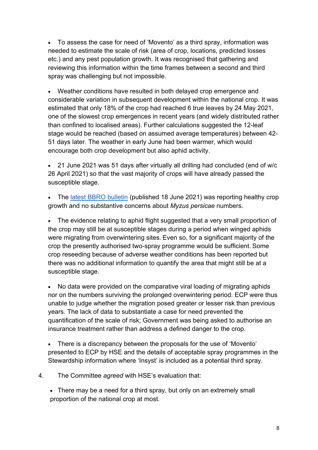• To assess the case for need of 'Movento' as a third spray, information was needed to estimate the scale of risk (area of crop, locations, predicted losses etc.) and any pest population growth. It was recognised that gathering and reviewing this information within the time frames between a second and third spray was challenging but not impossible.

• Weather conditions have resulted in both delayed crop emergence and considerable variation in subsequent development within the national crop. It was estimated that only 18% of the crop had reached 6 true leaves by 24 May 2021, one of the slowest crop emergences in recent years (and widely distributed rather than confined to localised areas). Further calculations suggested the 12-leaf stage would be reached (based on assumed average temperatures) between 42- 51 days later. The weather in early June had been warmer, which would encourage both crop development but also aphid activity.

• 21 June 2021 was 51 days after virtually all drilling had concluded (end of w/c 26 April 2021) so that the vast majority of crops will have already passed the susceptible stage.

• The latest BBRO [bulletin](https://bbro.co.uk/media/50546/21-advisory-bulletin-no-12.pdf) (published 18 June 2021) was reporting healthy crop growth and no substantive concerns about *Myzus persicae* numbers.

• The evidence relating to aphid flight suggested that a very small proportion of the crop may still be at susceptible stages during a period when winged aphids were migrating from overwintering sites. Even so, for a significant majority of the crop the presently authorised two-spray programme would be sufficient. Some crop reseeding because of adverse weather conditions has been reported but there was no additional information to quantify the area that might still be at a susceptible stage.

• No data were provided on the comparative viral loading of migrating aphids nor on the numbers surviving the prolonged overwintering period. ECP were thus unable to judge whether the migration posed greater or lesser risk than previous years. The lack of data to substantiate a case for need prevented the quantification of the scale of risk; Government was being asked to authorise an insurance treatment rather than address a defined danger to the crop.

• There is a discrepancy between the proposals for the use of 'Movento' presented to ECP by HSE and the details of acceptable spray programmes in the Stewardship information where 'Insyst' is included as a potential third spray.

4. The Committee *agreed* with HSE's evaluation that:

• There may be a need for a third spray, but only on an extremely small proportion of the national crop at most.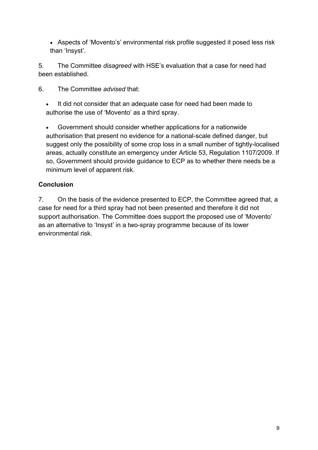• Aspects of 'Movento's' environmental risk profile suggested it posed less risk than 'Insyst'.

5. The Committee *disagreed* with HSE's evaluation that a case for need had been established.

6. The Committee *advised* that:

It did not consider that an adequate case for need had been made to authorise the use of 'Movento' as a third spray.

• Government should consider whether applications for a nationwide authorisation that present no evidence for a national-scale defined danger, but suggest only the possibility of some crop loss in a small number of tightly-localised areas, actually constitute an emergency under Article 53, Regulation 1107/2009. If so, Government should provide guidance to ECP as to whether there needs be a minimum level of apparent risk.

#### **Conclusion**

7. On the basis of the evidence presented to ECP, the Committee agreed that, a case for need for a third spray had not been presented and therefore it did not support authorisation. The Committee does support the proposed use of 'Movento' as an alternative to 'Insyst' in a two-spray programme because of its lower environmental risk.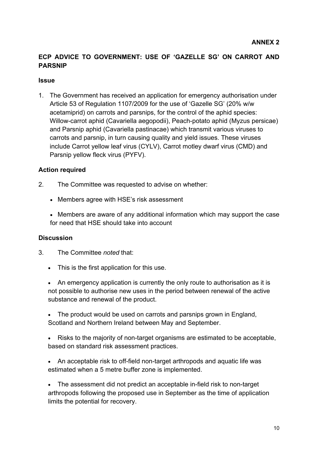#### **ECP ADVICE TO GOVERNMENT: USE OF 'GAZELLE SG' ON CARROT AND PARSNIP**

#### **Issue**

1. The Government has received an application for emergency authorisation under Article 53 of Regulation 1107/2009 for the use of 'Gazelle SG' (20% w/w acetamiprid) on carrots and parsnips, for the control of the aphid species: Willow-carrot aphid (Cavariella aegopodii), Peach-potato aphid (Myzus persicae) and Parsnip aphid (Cavariella pastinacae) which transmit various viruses to carrots and parsnip, in turn causing quality and yield issues. These viruses include Carrot yellow leaf virus (CYLV), Carrot motley dwarf virus (CMD) and Parsnip yellow fleck virus (PYFV).

#### **Action required**

- 2. The Committee was requested to advise on whether:
	- Members agree with HSE's risk assessment
	- Members are aware of any additional information which may support the case for need that HSE should take into account

#### **Discussion**

- 3. The Committee *noted* that:
	- This is the first application for this use.

• An emergency application is currently the only route to authorisation as it is not possible to authorise new uses in the period between renewal of the active substance and renewal of the product.

• The product would be used on carrots and parsnips grown in England, Scotland and Northern Ireland between May and September.

- Risks to the majority of non-target organisms are estimated to be acceptable, based on standard risk assessment practices.
- An acceptable risk to off-field non-target arthropods and aquatic life was estimated when a 5 metre buffer zone is implemented.

• The assessment did not predict an acceptable in-field risk to non-target arthropods following the proposed use in September as the time of application limits the potential for recovery.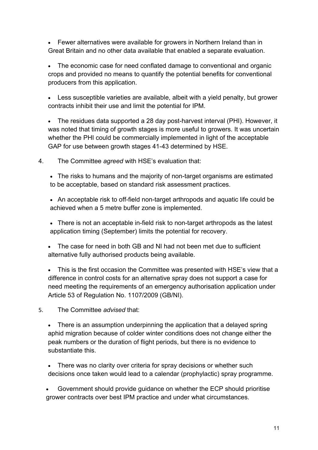• Fewer alternatives were available for growers in Northern Ireland than in Great Britain and no other data available that enabled a separate evaluation.

• The economic case for need conflated damage to conventional and organic crops and provided no means to quantify the potential benefits for conventional producers from this application.

• Less susceptible varieties are available, albeit with a yield penalty, but grower contracts inhibit their use and limit the potential for IPM.

• The residues data supported a 28 day post-harvest interval (PHI). However, it was noted that timing of growth stages is more useful to growers. It was uncertain whether the PHI could be commercially implemented in light of the acceptable GAP for use between growth stages 41-43 determined by HSE.

- 4. The Committee *agreed* with HSE's evaluation that:
	- The risks to humans and the majority of non-target organisms are estimated to be acceptable, based on standard risk assessment practices.
	- An acceptable risk to off-field non-target arthropods and aquatic life could be achieved when a 5 metre buffer zone is implemented.
	- There is not an acceptable in-field risk to non-target arthropods as the latest application timing (September) limits the potential for recovery.
	- The case for need in both GB and NI had not been met due to sufficient alternative fully authorised products being available.
	- This is the first occasion the Committee was presented with HSE's view that a difference in control costs for an alternative spray does not support a case for need meeting the requirements of an emergency authorisation application under Article 53 of Regulation No. 1107/2009 (GB/NI).
- 5. The Committee *advised* that:
	- There is an assumption underpinning the application that a delayed spring aphid migration because of colder winter conditions does not change either the peak numbers or the duration of flight periods, but there is no evidence to substantiate this.
	- There was no clarity over criteria for spray decisions or whether such decisions once taken would lead to a calendar (prophylactic) spray programme.

• Government should provide guidance on whether the ECP should prioritise grower contracts over best IPM practice and under what circumstances.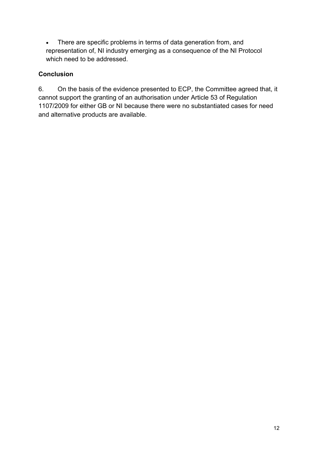• There are specific problems in terms of data generation from, and representation of, NI industry emerging as a consequence of the NI Protocol which need to be addressed.

### **Conclusion**

6. On the basis of the evidence presented to ECP, the Committee agreed that, it cannot support the granting of an authorisation under Article 53 of Regulation 1107/2009 for either GB or NI because there were no substantiated cases for need and alternative products are available.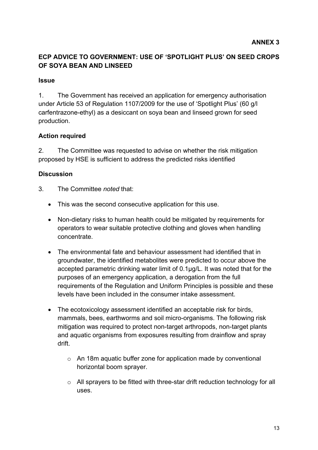#### **ECP ADVICE TO GOVERNMENT: USE OF 'SPOTLIGHT PLUS' ON SEED CROPS OF SOYA BEAN AND LINSEED**

#### **Issue**

1. The Government has received an application for emergency authorisation under Article 53 of Regulation 1107/2009 for the use of 'Spotlight Plus' (60 g/l carfentrazone-ethyl) as a desiccant on soya bean and linseed grown for seed production.

#### **Action required**

2. The Committee was requested to advise on whether the risk mitigation proposed by HSE is sufficient to address the predicted risks identified

#### **Discussion**

- 3. The Committee *noted* that:
	- This was the second consecutive application for this use.
	- Non-dietary risks to human health could be mitigated by requirements for operators to wear suitable protective clothing and gloves when handling concentrate.
	- The environmental fate and behaviour assessment had identified that in groundwater, the identified metabolites were predicted to occur above the accepted parametric drinking water limit of 0.1μg/L. It was noted that for the purposes of an emergency application, a derogation from the full requirements of the Regulation and Uniform Principles is possible and these levels have been included in the consumer intake assessment.
	- The ecotoxicology assessment identified an acceptable risk for birds, mammals, bees, earthworms and soil micro-organisms. The following risk mitigation was required to protect non-target arthropods, non-target plants and aquatic organisms from exposures resulting from drainflow and spray drift.
		- o An 18m aquatic buffer zone for application made by conventional horizontal boom sprayer.
		- o All sprayers to be fitted with three-star drift reduction technology for all uses.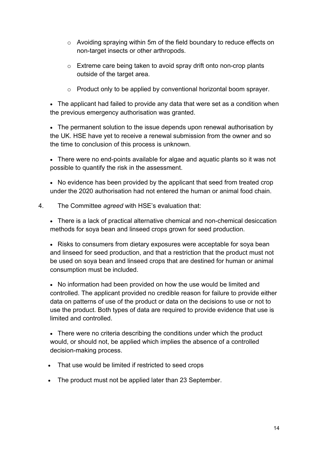- o Avoiding spraying within 5m of the field boundary to reduce effects on non-target insects or other arthropods.
- o Extreme care being taken to avoid spray drift onto non-crop plants outside of the target area.
- o Product only to be applied by conventional horizontal boom sprayer.

• The applicant had failed to provide any data that were set as a condition when the previous emergency authorisation was granted.

• The permanent solution to the issue depends upon renewal authorisation by the UK. HSE have yet to receive a renewal submission from the owner and so the time to conclusion of this process is unknown.

• There were no end-points available for algae and aquatic plants so it was not possible to quantify the risk in the assessment.

• No evidence has been provided by the applicant that seed from treated crop under the 2020 authorisation had not entered the human or animal food chain.

4. The Committee *agreed* with HSE's evaluation that:

• There is a lack of practical alternative chemical and non-chemical desiccation methods for soya bean and linseed crops grown for seed production.

• Risks to consumers from dietary exposures were acceptable for soya bean and linseed for seed production, and that a restriction that the product must not be used on soya bean and linseed crops that are destined for human or animal consumption must be included.

• No information had been provided on how the use would be limited and controlled. The applicant provided no credible reason for failure to provide either data on patterns of use of the product or data on the decisions to use or not to use the product. Both types of data are required to provide evidence that use is limited and controlled.

• There were no criteria describing the conditions under which the product would, or should not, be applied which implies the absence of a controlled decision-making process.

- That use would be limited if restricted to seed crops
- The product must not be applied later than 23 September.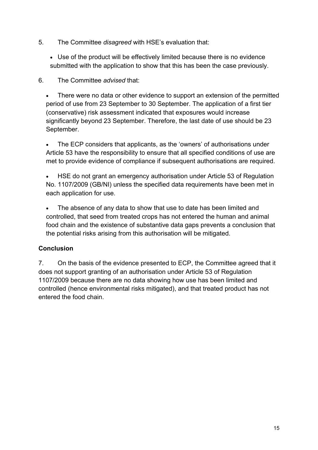- 5. The Committee *disagreed* with HSE's evaluation that:
	- Use of the product will be effectively limited because there is no evidence submitted with the application to show that this has been the case previously.

6. The Committee *advised* that:

There were no data or other evidence to support an extension of the permitted period of use from 23 September to 30 September. The application of a first tier (conservative) risk assessment indicated that exposures would increase significantly beyond 23 September. Therefore, the last date of use should be 23 September.

• The ECP considers that applicants, as the 'owners' of authorisations under Article 53 have the responsibility to ensure that all specified conditions of use are met to provide evidence of compliance if subsequent authorisations are required.

• HSE do not grant an emergency authorisation under Article 53 of Regulation No. 1107/2009 (GB/NI) unless the specified data requirements have been met in each application for use.

The absence of any data to show that use to date has been limited and controlled, that seed from treated crops has not entered the human and animal food chain and the existence of substantive data gaps prevents a conclusion that the potential risks arising from this authorisation will be mitigated.

#### **Conclusion**

7. On the basis of the evidence presented to ECP, the Committee agreed that it does not support granting of an authorisation under Article 53 of Regulation 1107/2009 because there are no data showing how use has been limited and controlled (hence environmental risks mitigated), and that treated product has not entered the food chain.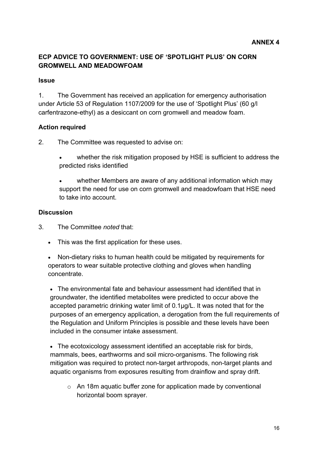#### **ECP ADVICE TO GOVERNMENT: USE OF 'SPOTLIGHT PLUS' ON CORN GROMWELL AND MEADOWFOAM**

#### **Issue**

1. The Government has received an application for emergency authorisation under Article 53 of Regulation 1107/2009 for the use of 'Spotlight Plus' (60 g/l carfentrazone-ethyl) as a desiccant on corn gromwell and meadow foam.

#### **Action required**

2. The Committee was requested to advise on:

- whether the risk mitigation proposed by HSE is sufficient to address the predicted risks identified
- whether Members are aware of any additional information which may support the need for use on corn gromwell and meadowfoam that HSE need to take into account.

#### **Discussion**

- 3. The Committee *noted* that:
	- This was the first application for these uses.

• Non-dietary risks to human health could be mitigated by requirements for operators to wear suitable protective clothing and gloves when handling concentrate.

• The environmental fate and behaviour assessment had identified that in groundwater, the identified metabolites were predicted to occur above the accepted parametric drinking water limit of 0.1μg/L. It was noted that for the purposes of an emergency application, a derogation from the full requirements of the Regulation and Uniform Principles is possible and these levels have been included in the consumer intake assessment.

• The ecotoxicology assessment identified an acceptable risk for birds, mammals, bees, earthworms and soil micro-organisms. The following risk mitigation was required to protect non-target arthropods, non-target plants and aquatic organisms from exposures resulting from drainflow and spray drift.

o An 18m aquatic buffer zone for application made by conventional horizontal boom sprayer.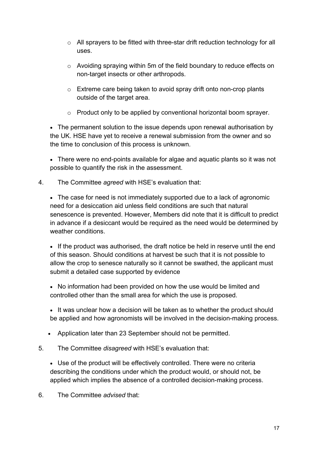- o All sprayers to be fitted with three-star drift reduction technology for all uses.
- o Avoiding spraying within 5m of the field boundary to reduce effects on non-target insects or other arthropods.
- o Extreme care being taken to avoid spray drift onto non-crop plants outside of the target area.
- o Product only to be applied by conventional horizontal boom sprayer.

• The permanent solution to the issue depends upon renewal authorisation by the UK. HSE have yet to receive a renewal submission from the owner and so the time to conclusion of this process is unknown.

• There were no end-points available for algae and aquatic plants so it was not possible to quantify the risk in the assessment.

4. The Committee *agreed* with HSE's evaluation that:

• The case for need is not immediately supported due to a lack of agronomic need for a desiccation aid unless field conditions are such that natural senescence is prevented. However, Members did note that it is difficult to predict in advance if a desiccant would be required as the need would be determined by weather conditions.

• If the product was authorised, the draft notice be held in reserve until the end of this season. Should conditions at harvest be such that it is not possible to allow the crop to senesce naturally so it cannot be swathed, the applicant must submit a detailed case supported by evidence

• No information had been provided on how the use would be limited and controlled other than the small area for which the use is proposed.

• It was unclear how a decision will be taken as to whether the product should be applied and how agronomists will be involved in the decision-making process.

- Application later than 23 September should not be permitted.
- 5. The Committee *disagreed* with HSE's evaluation that:

• Use of the product will be effectively controlled. There were no criteria describing the conditions under which the product would, or should not, be applied which implies the absence of a controlled decision-making process.

6. The Committee *advised* that: